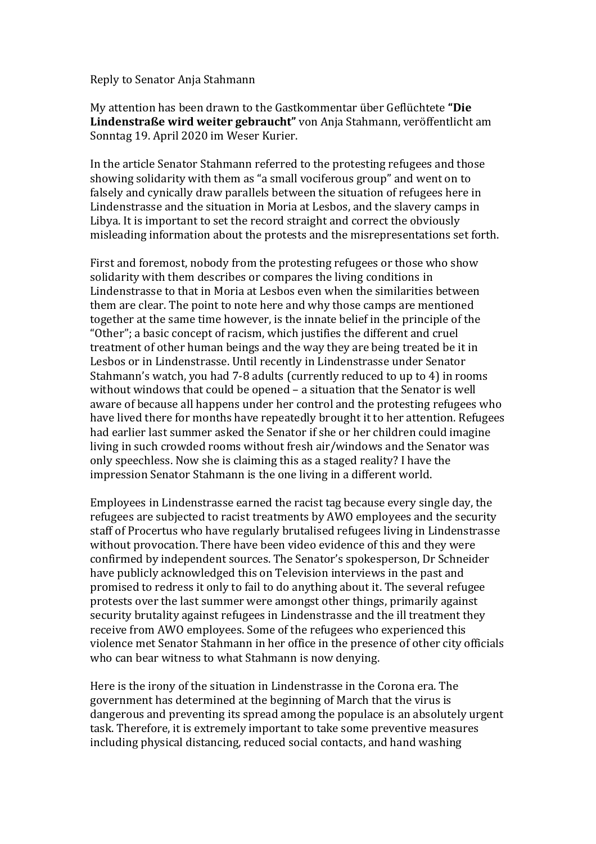Reply to Senator Anja Stahmann

My attention has been drawn to the Gastkommentar über Geflüchtete "Die Lindenstraße wird weiter gebraucht" von Anja Stahmann, veröffentlicht am Sonntag 19. April 2020 im Weser Kurier.

In the article Senator Stahmann referred to the protesting refugees and those showing solidarity with them as "a small vociferous group" and went on to falsely and cynically draw parallels between the situation of refugees here in Lindenstrasse and the situation in Moria at Lesbos, and the slavery camps in Libya. It is important to set the record straight and correct the obviously misleading information about the protests and the misrepresentations set forth.

First and foremost, nobody from the protesting refugees or those who show solidarity with them describes or compares the living conditions in Lindenstrasse to that in Moria at Lesbos even when the similarities between them are clear. The point to note here and why those camps are mentioned together at the same time however, is the innate belief in the principle of the "Other"; a basic concept of racism, which justifies the different and cruel treatment of other human beings and the way they are being treated be it in Lesbos or in Lindenstrasse. Until recently in Lindenstrasse under Senator Stahmann's watch, you had 7-8 adults (currently reduced to up to 4) in rooms without windows that could be opened  $-$  a situation that the Senator is well aware of because all happens under her control and the protesting refugees who have lived there for months have repeatedly brought it to her attention. Refugees had earlier last summer asked the Senator if she or her children could imagine living in such crowded rooms without fresh air/windows and the Senator was only speechless. Now she is claiming this as a staged reality? I have the impression Senator Stahmann is the one living in a different world.

Employees in Lindenstrasse earned the racist tag because every single day, the refugees are subjected to racist treatments by AWO employees and the security staff of Procertus who have regularly brutalised refugees living in Lindenstrasse without provocation. There have been video evidence of this and they were confirmed by independent sources. The Senator's spokesperson. Dr Schneider have publicly acknowledged this on Television interviews in the past and promised to redress it only to fail to do anything about it. The several refugee protests over the last summer were amongst other things, primarily against security brutality against refugees in Lindenstrasse and the ill treatment they receive from AWO employees. Some of the refugees who experienced this violence met Senator Stahmann in her office in the presence of other city officials who can bear witness to what Stahmann is now denying.

Here is the irony of the situation in Lindenstrasse in the Corona era. The government has determined at the beginning of March that the virus is dangerous and preventing its spread among the populace is an absolutely urgent task. Therefore, it is extremely important to take some preventive measures including physical distancing, reduced social contacts, and hand washing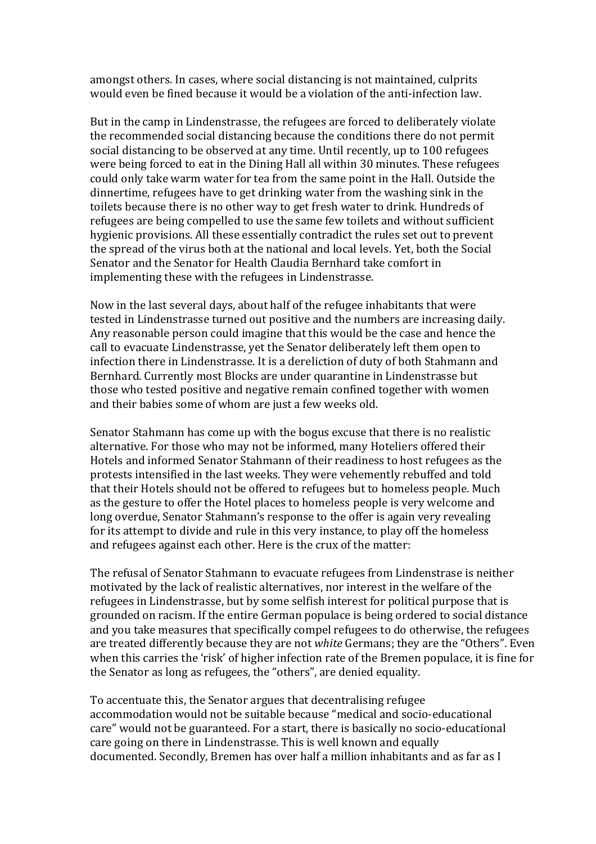amongst others. In cases, where social distancing is not maintained, culprits would even be fined because it would be a violation of the anti-infection law.

But in the camp in Lindenstrasse, the refugees are forced to deliberately violate the recommended social distancing because the conditions there do not permit social distancing to be observed at any time. Until recently, up to 100 refugees were being forced to eat in the Dining Hall all within 30 minutes. These refugees could only take warm water for tea from the same point in the Hall. Outside the dinnertime, refugees have to get drinking water from the washing sink in the toilets because there is no other way to get fresh water to drink. Hundreds of refugees are being compelled to use the same few toilets and without sufficient hygienic provisions. All these essentially contradict the rules set out to prevent the spread of the virus both at the national and local levels. Yet, both the Social Senator and the Senator for Health Claudia Bernhard take comfort in implementing these with the refugees in Lindenstrasse.

Now in the last several days, about half of the refugee inhabitants that were tested in Lindenstrasse turned out positive and the numbers are increasing daily. Any reasonable person could imagine that this would be the case and hence the call to evacuate Lindenstrasse, yet the Senator deliberately left them open to infection there in Lindenstrasse. It is a dereliction of duty of both Stahmann and Bernhard. Currently most Blocks are under quarantine in Lindenstrasse but those who tested positive and negative remain confined together with women and their babies some of whom are just a few weeks old.

Senator Stahmann has come up with the bogus excuse that there is no realistic alternative. For those who may not be informed, many Hoteliers offered their Hotels and informed Senator Stahmann of their readiness to host refugees as the protests intensified in the last weeks. They were vehemently rebuffed and told that their Hotels should not be offered to refugees but to homeless people. Much as the gesture to offer the Hotel places to homeless people is very welcome and long overdue, Senator Stahmann's response to the offer is again very revealing for its attempt to divide and rule in this very instance, to play off the homeless and refugees against each other. Here is the crux of the matter:

The refusal of Senator Stahmann to evacuate refugees from Lindenstrase is neither motivated by the lack of realistic alternatives, nor interest in the welfare of the refugees in Lindenstrasse, but by some selfish interest for political purpose that is grounded on racism. If the entire German populace is being ordered to social distance and you take measures that specifically compel refugees to do otherwise, the refugees are treated differently because they are not *white* Germans; they are the "Others". Even when this carries the 'risk' of higher infection rate of the Bremen populace, it is fine for the Senator as long as refugees, the "others", are denied equality.

To accentuate this, the Senator argues that decentralising refugee accommodation would not be suitable because "medical and socio-educational care" would not be guaranteed. For a start, there is basically no socio-educational care going on there in Lindenstrasse. This is well known and equally documented. Secondly, Bremen has over half a million inhabitants and as far as I